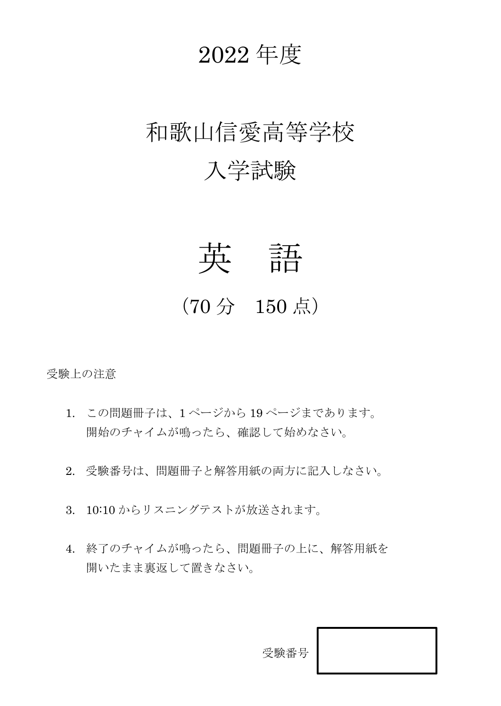# 2022 年度

# 和歌山信愛高等学校 入学試験



## (70 分 150 点)

受験上の注意

- 1. この問題冊子は、1 ページから 19 ページまであります。 開始のチャイムが鳴ったら、確認して始めなさい。
- 2. 受験番号は、問題冊子と解答用紙の両方に記入しなさい。
- 3. 10:10 からリスニングテストが放送されます。
- 4. 終了のチャイムが鳴ったら、問題冊子の上に、解答用紙を 開いたまま裏返して置きなさい。

受験番号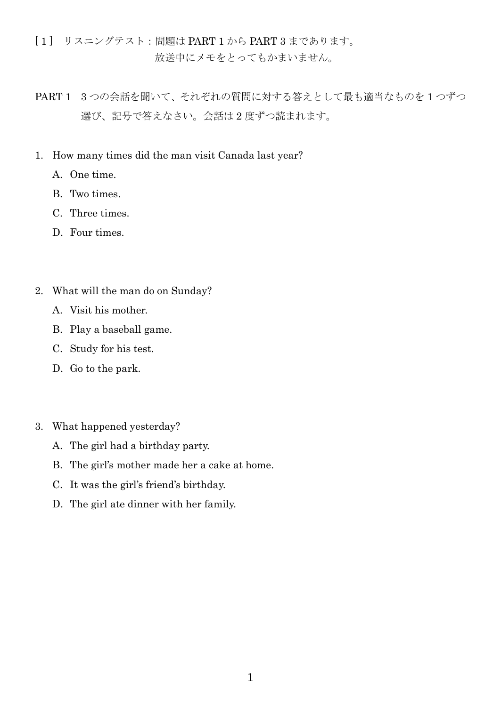[ 1 ] リスニングテスト:問題は PART 1 から PART 3 まであります。 放送中にメモをとってもかまいません。

- PART 1 3 つの会話を聞いて、それぞれの質問に対する答えとして最も適当なものを 1 つずつ 選び、記号で答えなさい。会話は 2 度ずつ読まれます。
- 1. How many times did the man visit Canada last year?
	- A. One time.
	- B. Two times.
	- C. Three times.
	- D. Four times.
- 2. What will the man do on Sunday?
	- A. Visit his mother.
	- B. Play a baseball game.
	- C. Study for his test.
	- D. Go to the park.
- 3. What happened yesterday?
	- A. The girl had a birthday party.
	- B. The girl's mother made her a cake at home.
	- C. It was the girl's friend's birthday.
	- D. The girl ate dinner with her family.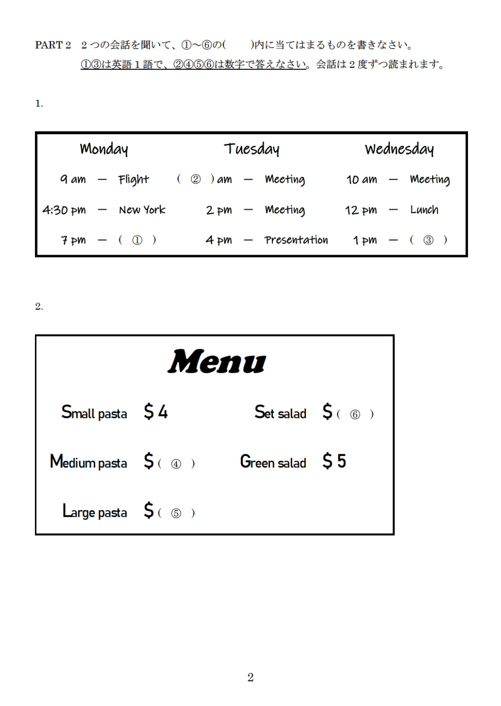PART2 2つの会話を聞いて、1~6の( )内に当てはまるものを書きなさい。 13は英語1語で、2466は数字で答えなさい。会話は2度ずつ読まれます。

 $\mathbf{1}$ .

| Monday |                              |  |  | Tuesday                         | Wednesday                             |  |                     |  |  |  |
|--------|------------------------------|--|--|---------------------------------|---------------------------------------|--|---------------------|--|--|--|
|        | 9 am – Flight                |  |  | $\oslash$ ) am $-$ Meeting      |                                       |  | $10 am - Meeting$   |  |  |  |
|        | $4:30 \text{ pm}$ - New York |  |  | $2 \, \text{pm}$ – Meeting      | $12 \,\mathrm{pm} - \,\mathrm{Lunch}$ |  |                     |  |  |  |
|        | $7 \text{pm} - (0)$          |  |  | $4 \, \text{pm}$ - Presentation |                                       |  | $1 \text{pm} - (3)$ |  |  |  |

 $\overline{2}$ .

|                                            | Menu |                                                 |  |
|--------------------------------------------|------|-------------------------------------------------|--|
| Small pasta $$4$                           |      | Set salad $\begin{array}{cc} 5 & 0 \end{array}$ |  |
| Medium pasta $S \in \mathbb{Q}$            |      | Green salad $55$                                |  |
| Large pasta $\quad \mathsf{S}(\mathsf{S})$ |      |                                                 |  |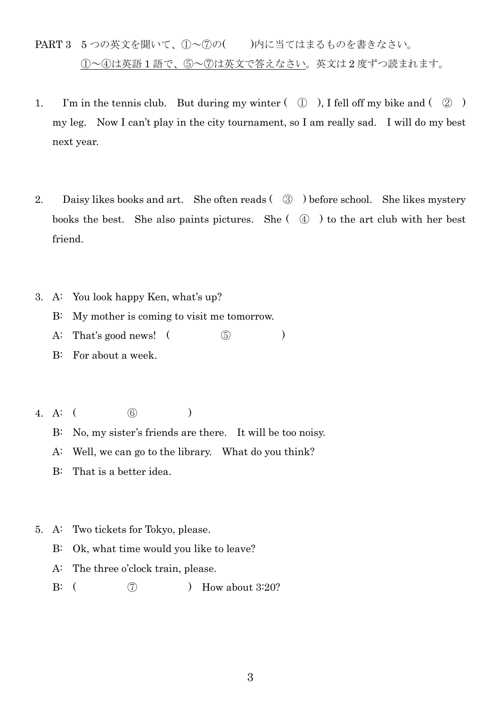- PART 3 5つの英文を聞いて、1つへのの()内に当てはまるものを書きなさい。 ①~④は英語 1 語で、⑤~⑦は英文で答えなさい。英文は 2 度ずつ読まれます。
- 1. I'm in the tennis club. But during my winter  $(\mathbb{Q})$ , I fell off my bike and  $(\mathbb{Q})$ my leg. Now I can't play in the city tournament, so I am really sad. I will do my best next year.
- 2. Daisy likes books and art. She often reads ( ③ ) before school. She likes mystery books the best. She also paints pictures. She  $( \varphi )$  to the art club with her best friend.
- 3. A: You look happy Ken, what's up?
	- B: My mother is coming to visit me tomorrow.
	- A: That's good news!  $($
	- B: For about a week.
- 4. A: ( ⑥ )
	- B: No, my sister's friends are there. It will be too noisy.
	- A: Well, we can go to the library. What do you think?
	- B: That is a better idea.
- 5. A: Two tickets for Tokyo, please.
	- B: Ok, what time would you like to leave?
	- A: The three o'clock train, please.
	- B:  $( \qquad \qquad (7)$  Bi How about 3:20?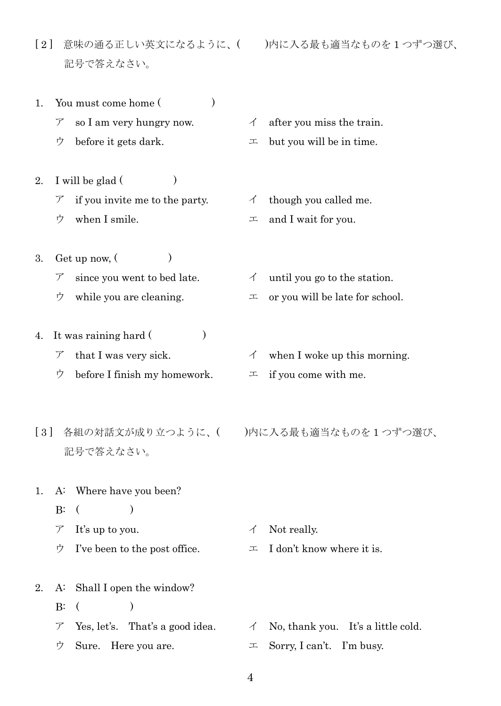- [ 2 ] 意味の通る正しい英文になるように、( )内に入る最も適当なものを 1 つずつ選び、 記号で答えなさい。
- 1. You must come home ()
	- $\triangledown$  so I am very hungry now.  $\check{\phantom{1}}$  after you miss the train.
	- $\dot{\triangledown}$  before it gets dark.  $\perp$  but you will be in time.
- 2. I will be glad  $($ )  $\triangledown$  if you invite me to the party.  $\blacktriangleleft$  though you called me.
	-
- 3. Get up now,  $($ )  $\triangledown$  since you went to bed late.  $\blacktriangleleft$  until you go to the station.
- 4. It was raining hard ()
	-
	- $\dot{\triangledown}$  before I finish my homework.  $\perp$  if you come with me.
- 記号で答えなさい。

1. A: Where have you been?

- $B: ($
- $\mathcal{T}$  It's up to you.  $\mathcal{A}$  Not really.
- 
- 2. A: Shall I open the window?  $B: ($ 
	- $\mathcal{T}$  Yes, let's. That's a good idea.  $\mathcal{A}$  No, thank you. It's a little cold.  $\dot{\triangledown}$  Sure. Here you are.  $\perp$  Sorry, I can't. I'm busy.
		- 4
- 
- 
- 
- 
- $\dot{\mathcal{D}}$  when I smile.  $\mathcal{L}$  and I wait for you.
	-
- $\dot{\triangledown}$  while you are cleaning.  $\perp$  or you will be late for school.
- $\mathcal{T}$  that I was very sick.  $\mathcal{A}$  when I woke up this morning.
	-

[ 3 ] 各組の対話文が成り立つように、( )内に入る最も適当なものを 1 つずつ選び、

- $\dot{\triangledown}$  I've been to the post office.  $\perp$  I don't know where it is.
	-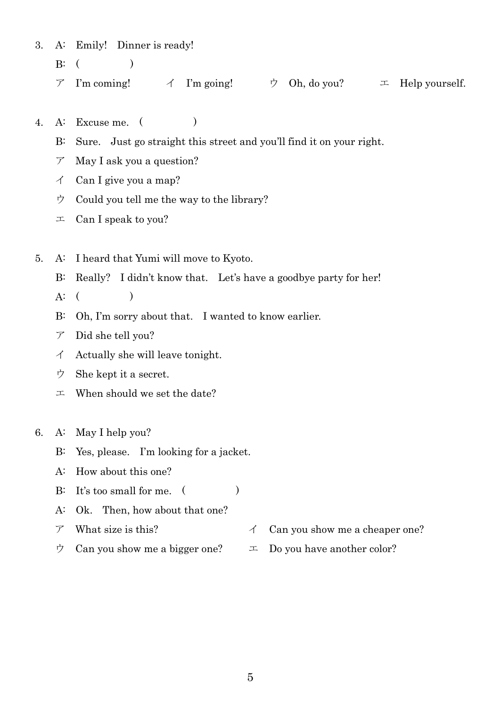3. A: Emily! Dinner is ready!

- $B: ($
- $\mathcal{T}$  I'm coming!  $\mathcal{A}$  I'm going!  $\mathcal{D}$  Oh, do you?  $\mathcal{I}$  Help yourself.
- 4. A: Excuse me. ( )
	- B: Sure. Just go straight this street and you'll find it on your right.
	- $\mathcal{T}$  May I ask you a question?
	- $\angle$  Can I give you a map?
	- ウ Could you tell me the way to the library?
	- $\perp$  Can I speak to you?
- 5. A: I heard that Yumi will move to Kyoto.
	- B: Really? I didn't know that. Let's have a goodbye party for her!
	- $A: ($
	- B: Oh, I'm sorry about that. I wanted to know earlier.
	- ア Did she tell you?
	- $\triangleleft$  Actually she will leave tonight.
	- ウ She kept it a secret.
	- $\perp$  When should we set the date?
- 6. A: May I help you?
	- B: Yes, please. I'm looking for a jacket.
	- A: How about this one?
	- B: It's too small for me.  $($
	- A: Ok. Then, how about that one?
	- $\triangledown$  What size is this?  $\blacktriangle$  Can you show me a cheaper one?
	- $\dot{\triangledown}$  Can you show me a bigger one?  $\perp$  Do you have another color?
		-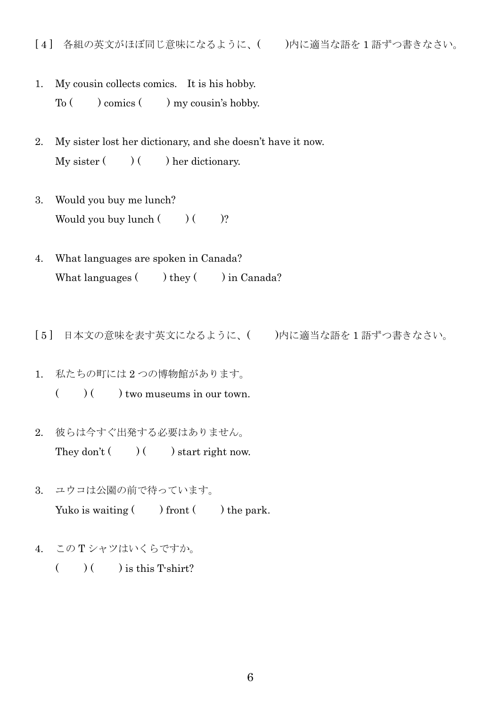- 1. My cousin collects comics. It is his hobby.  $To ( ) comes ( ) my cousin's hobby.$
- 2. My sister lost her dictionary, and she doesn't have it now.  $My$  sister  $($   $)$   $($   $)$  her dictionary.
- 3. Would you buy me lunch? Would you buy lunch  $($   $)$   $($   $)$ ?
- 4. What languages are spoken in Canada? What languages  $($   $)$  they  $($   $)$  in Canada?
- [ 5 ] 日本文の意味を表す英文になるように、( )内に適当な語を 1 語ずつ書きなさい。
- 1. 私たちの町には 2 つの博物館があります。  $($   $)$   $($   $)$  two museums in our town.
- 2. 彼らは今すぐ出発する必要はありません。 They don't  $()$  ( ) start right now.
- 3. ユウコは公園の前で待っています。 Yuko is waiting  $($  ) front  $($  ) the park.
- 4. この T シャツはいくらですか。
	- $($   $)$   $($   $)$  is this T-shirt?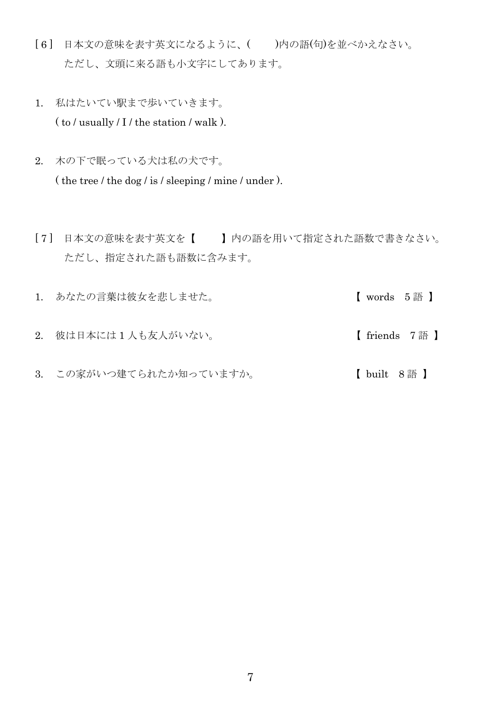- [ 6 ] 日本文の意味を表す英文になるように、( )内の語(句)を並べかえなさい。 ただし、文頭に来る語も小文字にしてあります。
- 1. 私はたいてい駅まで歩いていきます。  $($  to  $/$  usually  $/$  I  $/$  the station  $/$  walk  $).$
- 2. 木の下で眠っている犬は私の犬です。 ( the tree / the dog / is / sleeping / mine / under ).
- [ 7 ] 日本文の意味を表す英文を【 】内の語を用いて指定された語数で書きなさい。 ただし、指定された語も語数に含みます。
- 1. あなたの言葉は彼女を悲しませた。 <br> **directed in the Setup Terminal Setup Terminal Terminal Terminal Setup Terminal Terminal Setup Terminal Termina** 2. 彼は日本には 1 人も友人がいない。 **http://www.frack.com/friends** 7 語 】
- 3. この家がいつ建てられたか知っていますか。 【 built 8 語 】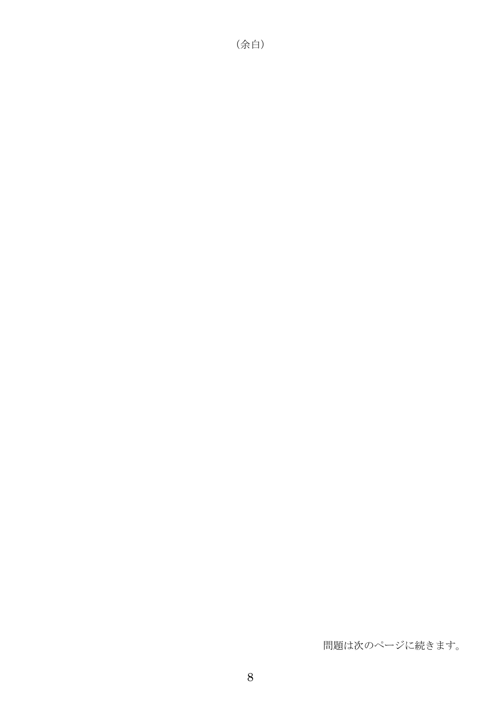#### (余白)

問題は次のページに続きます。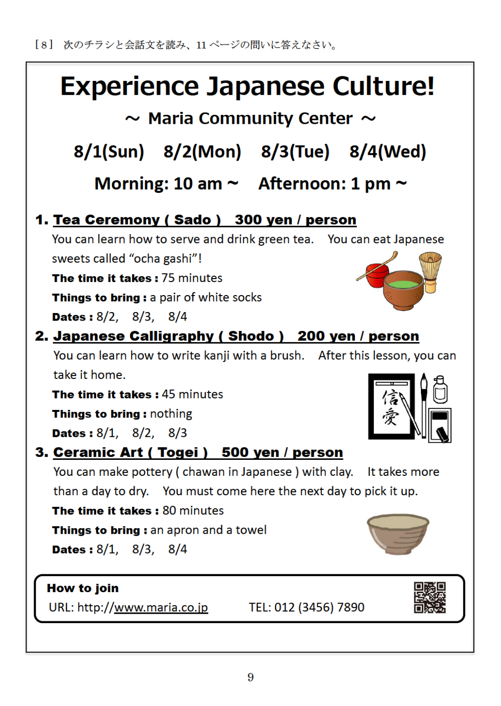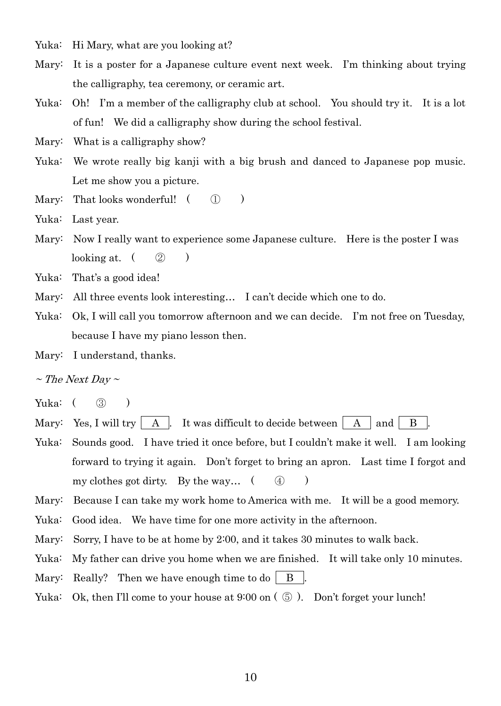Yuka: Hi Mary, what are you looking at?

- Mary: It is a poster for a Japanese culture event next week. I'm thinking about trying the calligraphy, tea ceremony, or ceramic art.
- Yuka: Oh! I'm a member of the calligraphy club at school. You should try it. It is a lot of fun! We did a calligraphy show during the school festival.

Mary: What is a calligraphy show?

- Yuka: We wrote really big kanji with a big brush and danced to Japanese pop music. Let me show you a picture.
- Mary: That looks wonderful!  $( \n\mathbb{D} )$

Yuka: Last year.

Mary: Now I really want to experience some Japanese culture. Here is the poster I was looking at.  $( \ 2)$ 

Yuka: That's a good idea!

- Mary: All three events look interesting... I can't decide which one to do.
- Yuka: Ok, I will call you tomorrow afternoon and we can decide. I'm not free on Tuesday, because I have my piano lesson then.
- Mary: I understand, thanks.

 $\sim$  The Next Day  $\sim$ 

- Yuka: ( 3) )
- Mary: Yes, I will try  $\begin{vmatrix} A & I \end{vmatrix}$ . It was difficult to decide between  $\begin{vmatrix} A & I \end{vmatrix}$  and  $\begin{vmatrix} B & I \end{vmatrix}$
- Yuka: Sounds good. I have tried it once before, but I couldn't make it well. I am looking forward to trying it again. Don't forget to bring an apron. Last time I forgot and my clothes got dirty. By the way… ( ④ )
- Mary: Because I can take my work home to America with me. It will be a good memory.
- Yuka: Good idea. We have time for one more activity in the afternoon.
- Mary: Sorry, I have to be at home by 2:00, and it takes 30 minutes to walk back.
- Yuka: My father can drive you home when we are finished. It will take only 10 minutes.
- Mary: Really? Then we have enough time to do  $\parallel$  B  $\parallel$ .
- Yuka: Ok, then I'll come to your house at 9:00 on  $(\circled{5})$ . Don't forget your lunch!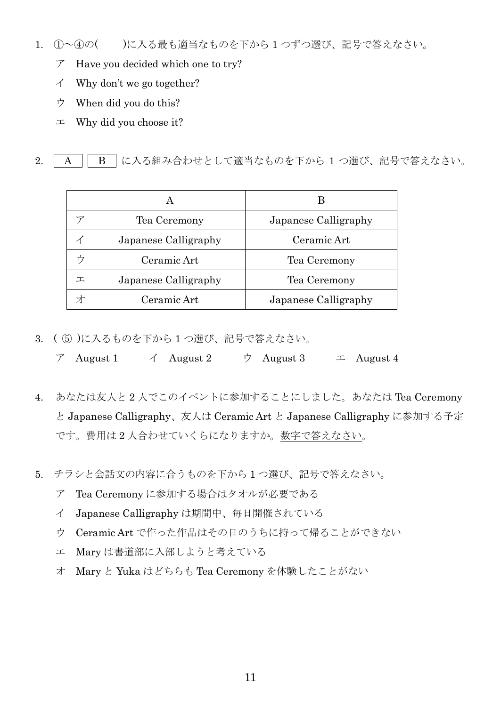- 1. ①~④の( )に入る最も適当なものを下から 1 つずつ選び、記号で答えなさい。
	- ア Have you decided which one to try?
	- イ Why don't we go together?
	- ウ When did you do this?
	- $\perp$  Why did you choose it?

2. | A || B |に入る組み合わせとして適当なものを下から 1 つ選び、記号で答えなさい。

|   | Tea Ceremony         | Japanese Calligraphy |
|---|----------------------|----------------------|
|   | Japanese Calligraphy | Ceramic Art          |
|   | Ceramic Art          | Tea Ceremony         |
| エ | Japanese Calligraphy | Tea Ceremony         |
|   | Ceramic Art          | Japanese Calligraphy |

- 3. ( ⑤ )に入るものを下から 1 つ選び、記号で答えなさい。
	- $\mathcal{T}$  August 1  $\mathcal{A}$  August 2  $\mathcal{D}$  August 3  $\mathcal{I}$  August 4
- 4. あなたは友人と 2 人でこのイベントに参加することにしました。あなたは Tea Ceremony と Japanese Calligraphy、友人は Ceramic Art と Japanese Calligraphy に参加する予定 です。費用は 2 人合わせていくらになりますか。数字で答えなさい。
- 5. チラシと会話文の内容に合うものを下から 1 つ選び、記号で答えなさい。
	- ア Tea Ceremony に参加する場合はタオルが必要である
	- イ Japanese Calligraphy は期間中、毎日開催されている
	- ウ Ceramic Art で作った作品はその日のうちに持って帰ることができない
	- エ Mary は書道部に入部しようと考えている
	- オ Mary と Yuka はどちらも Tea Ceremony を体験したことがない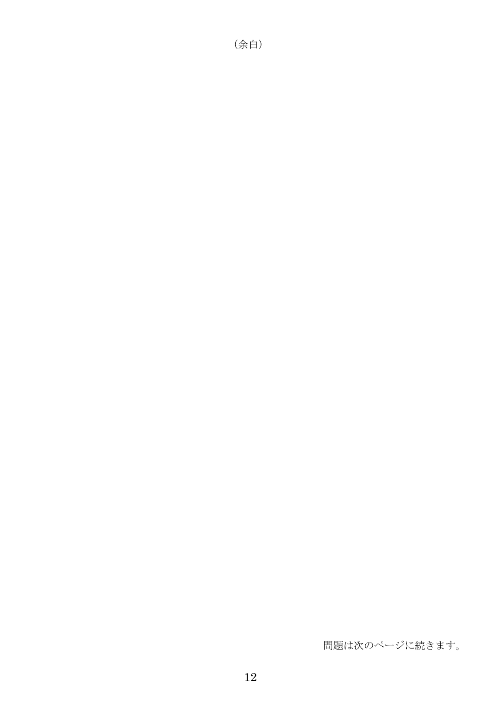#### 問題は次のページに続きます。

(余白)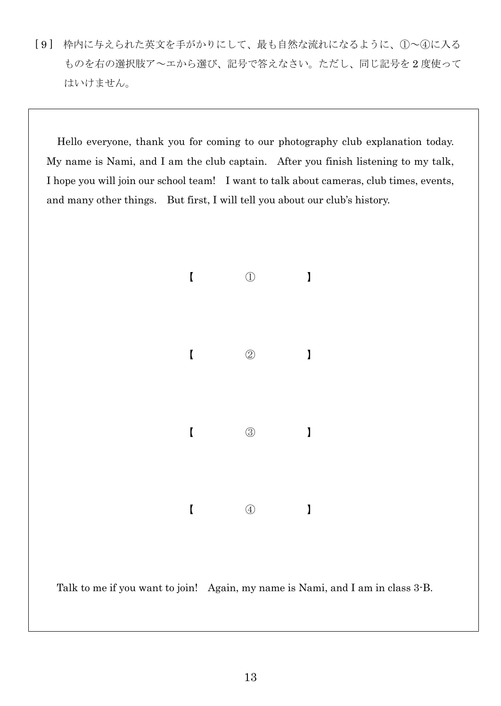[ 9 ] 枠内に与えられた英文を手がかりにして、最も自然な流れになるように、①~④に入る ものを右の選択肢ア~エから選び、記号で答えなさい。ただし、同じ記号を 2 度使って はいけません。

Hello everyone, thank you for coming to our photography club explanation today. My name is Nami, and I am the club captain. After you finish listening to my talk, I hope you will join our school team! I want to talk about cameras, club times, events, and many other things. But first, I will tell you about our club's history.



Talk to me if you want to join! Again, my name is Nami, and I am in class 3-B.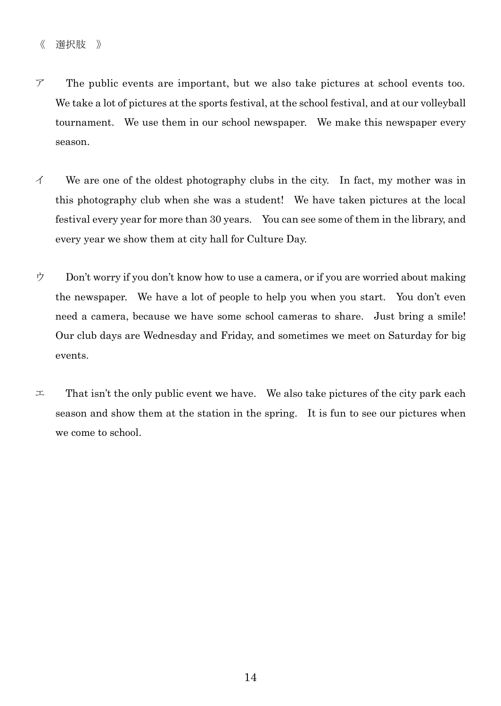- ア The public events are important, but we also take pictures at school events too. We take a lot of pictures at the sports festival, at the school festival, and at our volleyball tournament. We use them in our school newspaper. We make this newspaper every season.
- $\checkmark$  We are one of the oldest photography clubs in the city. In fact, my mother was in this photography club when she was a student! We have taken pictures at the local festival every year for more than 30 years. You can see some of them in the library, and every year we show them at city hall for Culture Day.
- $\dot{\mathcal{P}}$  Don't worry if you don't know how to use a camera, or if you are worried about making the newspaper. We have a lot of people to help you when you start. You don't even need a camera, because we have some school cameras to share. Just bring a smile! Our club days are Wednesday and Friday, and sometimes we meet on Saturday for big events.
- $\pm$  That isn't the only public event we have. We also take pictures of the city park each season and show them at the station in the spring. It is fun to see our pictures when we come to school.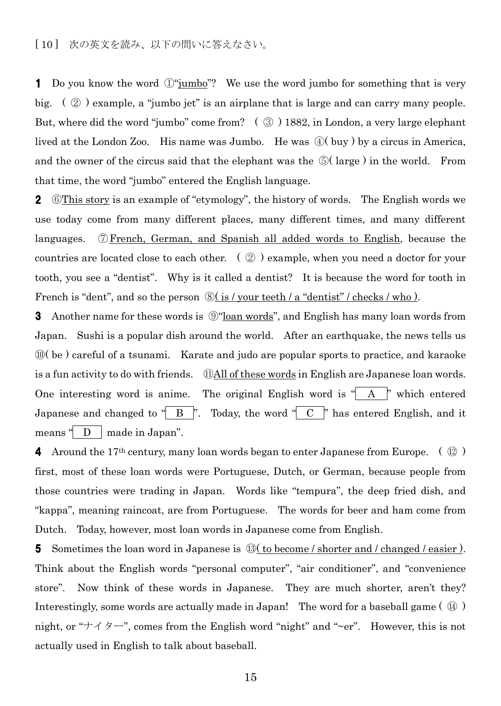[ 10 ] 次の英文を読み、以下の問いに答えなさい。

1 Do you know the word  $\mathbb{O}^n$  iumbo."? We use the word jumbo for something that is very big.  $(\mathcal{Q})$  example, a "jumbo jet" is an airplane that is large and can carry many people. But, where did the word "jumbo" come from?  $\left( \circled{3} \right)$  1882, in London, a very large elephant lived at the London Zoo. His name was Jumbo. He was ④( buy ) by a circus in America, and the owner of the circus said that the elephant was the  $\mathcal{D}(large)$  in the world. From that time, the word "jumbo" entered the English language.

2 © This story is an example of "etymology", the history of words. The English words we use today come from many different places, many different times, and many different languages. ⑦French, German, and Spanish all added words to English, because the countries are located close to each other. ( ② ) example, when you need a doctor for your tooth, you see a "dentist". Why is it called a dentist? It is because the word for tooth in French is "dent", and so the person  $\mathcal{D}($  is / your teeth / a "dentist" / checks / who ).

**3** Another name for these words is  $\mathcal{D}$  <u>loan words</u>", and English has many loan words from Japan. Sushi is a popular dish around the world. After an earthquake, the news tells us ⑩( be ) careful of a tsunami. Karate and judo are popular sports to practice, and karaoke is a fun activity to do with friends. ⑪All of these words in English are Japanese loan words. One interesting word is anime. The original English word is  $A'$   $A'$  which entered Japanese and changed to " $\overline{B}$ ". Today, the word " $\overline{C}$ " has entered English, and it means  $\Box$  D | made in Japan".

4 Around the 17<sup>th</sup> century, many loan words began to enter Japanese from Europe. ( $\mathcal{Q}$ ) first, most of these loan words were Portuguese, Dutch, or German, because people from those countries were trading in Japan. Words like "tempura", the deep fried dish, and "kappa", meaning raincoat, are from Portuguese. The words for beer and ham come from Dutch. Today, however, most loan words in Japanese come from English.

5 Sometimes the loan word in Japanese is  $\mathbb{Q}$  to become / shorter and / changed / easier ). Think about the English words "personal computer", "air conditioner", and "convenience store". Now think of these words in Japanese. They are much shorter, aren't they? Interestingly, some words are actually made in Japan! The word for a baseball game ( ⑭ ) night, or " $\forall \forall \forall \forall \forall \neg$ ", comes from the English word "night" and "~er". However, this is not actually used in English to talk about baseball.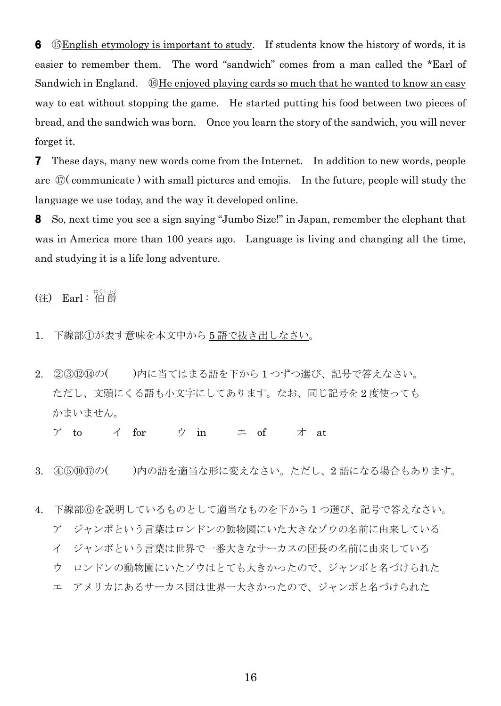6 ⑮English etymology is important to study. If students know the history of words, it is easier to remember them. The word "sandwich" comes from a man called the \*Earl of Sandwich in England. ⑯He enjoyed playing cards so much that he wanted to know an easy way to eat without stopping the game. He started putting his food between two pieces of bread, and the sandwich was born. Once you learn the story of the sandwich, you will never forget it.

**7** These days, many new words come from the Internet. In addition to new words, people are ⑰( communicate ) with small pictures and emojis. In the future, people will study the language we use today, and the way it developed online.

8 So, next time you see a sign saying "Jumbo Size!" in Japan, remember the elephant that was in America more than 100 years ago. Language is living and changing all the time, and studying it is a life long adventure.

(注) Earl:伯爵

- 1. 下線部①が表す意味を本文中から 5 語で抜き出しなさい。
- 2. 232244の()内に当てはまる語を下から1つずつ選び、記号で答えなさい。 ただし、文頭にくる語も小文字にしてあります。なお、同じ記号を 2 度使っても かまいません。

ア to イ for ウ in エ of オ at

- 3. ④⑤⑩⑰の( )内の語を適当な形に変えなさい。ただし、2 語になる場合もあります。
- 4. 下線部⑥を説明しているものとして適当なものを下から 1 つ選び、記号で答えなさい。 ア ジャンボという言葉はロンドンの動物園にいた大きなゾウの名前に由来している イ ジャンボという言葉は世界で一番大きなサーカスの団長の名前に由来している ウ ロンドンの動物園にいたゾウはとても大きかったので、ジャンボと名づけられた
	- エ アメリカにあるサーカス団は世界一大きかったので、ジャンボと名づけられた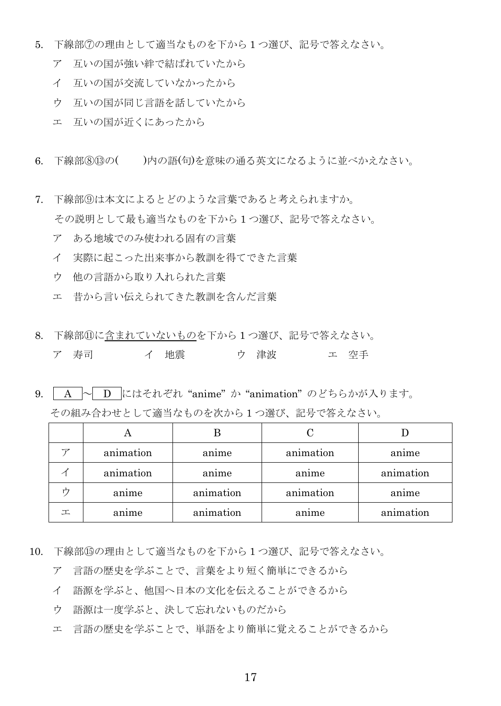- 5. 下線部⑦の理由として適当なものを下から 1 つ選び、記号で答えなさい。
	- ア 互いの国が強い絆で結ばれていたから
	- イ 互いの国が交流していなかったから
	- ウ 互いの国が同じ言語を話していたから
	- エ 互いの国が近くにあったから
- 6. 下線部③⑬の()内の語(句)を意味の通る英文になるように並べかえなさい。
- 7. 下線部⑨は本文によるとどのような言葉であると考えられますか。 その説明として最も適当なものを下から 1 つ選び、記号で答えなさい。
	- ア ある地域でのみ使われる固有の言葉
	- イ 実際に起こった出来事から教訓を得てできた言葉
	- ウ 他の言語から取り入れられた言葉
	- エ 昔から言い伝えられてきた教訓を含んだ言葉
- 8. 下線部⑪に含まれていないものを下から 1 つ選び、記号で答えなさい。

| ア 寿司 |  |  | イ 地震 |  | ウ 津波 |  | エ 空手 |
|------|--|--|------|--|------|--|------|
|------|--|--|------|--|------|--|------|

 $9.$  | A  $\sim$  | D にはそれぞれ "anime" か "animation" のどちらかが入ります。

|   | animation | anime     | animation | anime     |
|---|-----------|-----------|-----------|-----------|
|   | animation | anime     | anime     | animation |
|   | anime     | animation | animation | anime     |
| 工 | anıme     | animation | anime     | animation |

- 10. 下線部⑮の理由として適当なものを下から 1 つ選び、記号で答えなさい。
	- ア 言語の歴史を学ぶことで、言葉をより短く簡単にできるから
	- イ 語源を学ぶと、他国へ日本の文化を伝えることができるから
	- ウ 語源は一度学ぶと、決して忘れないものだから
	- エ 言語の歴史を学ぶことで、単語をより簡単に覚えることができるから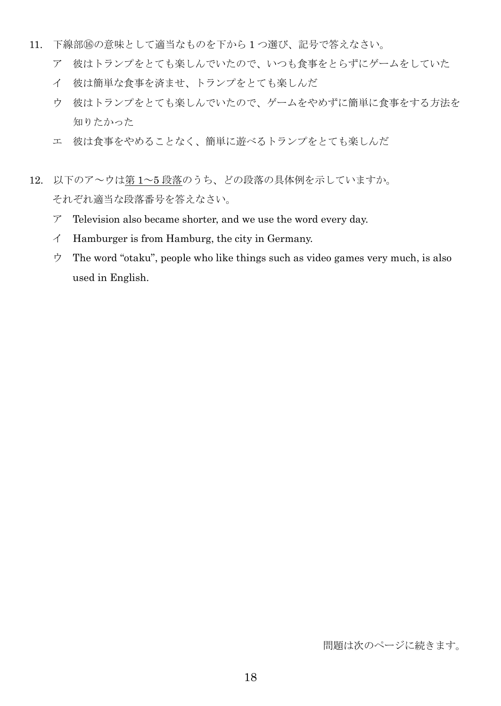- 11. 下線部⑯の意味として適当なものを下から 1 つ選び、記号で答えなさい。
	- ア 彼はトランプをとても楽しんでいたので、いつも食事をとらずにゲームをしていた
	- イ 彼は簡単な食事を済ませ、トランプをとても楽しんだ
	- ウ 彼はトランプをとても楽しんでいたので、ゲームをやめずに簡単に食事をする方法を 知りたかった
	- エ 彼は食事をやめることなく、簡単に遊べるトランプをとても楽しんだ
- 12. 以下のア~ウは第 1~5 段落のうち、どの段落の具体例を示していますか。 それぞれ適当な段落番号を答えなさい。
	- $\mathcal{T}$  Television also became shorter, and we use the word every day.
	- イ Hamburger is from Hamburg, the city in Germany.
	- ウ The word "otaku", people who like things such as video games very much, is also used in English.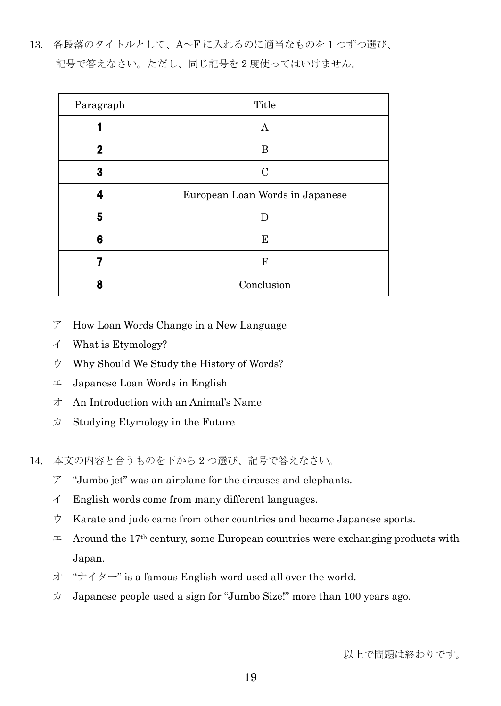13. 各段落のタイトルとして、A~F に入れるのに適当なものを 1 つずつ選び、 記号で答えなさい。ただし、同じ記号を 2 度使ってはいけません。

| Paragraph | Title                           |
|-----------|---------------------------------|
|           | Α                               |
| 2         | B                               |
| 3         | $\mathcal{C}$                   |
| 4         | European Loan Words in Japanese |
| 5         | D                               |
| 6         | ${\bf E}$                       |
|           | ${\bf F}$                       |
| 8         | Conclusion                      |

- ア How Loan Words Change in a New Language
- イ What is Etymology?
- ウ Why Should We Study the History of Words?
- $\pm$  Japanese Loan Words in English
- オ An Introduction with an Animal's Name
- $\forall$  Studying Etymology in the Future

14. 本文の内容と合うものを下から 2 つ選び、記号で答えなさい。

- $\mathcal{T}$  "Jumbo jet" was an airplane for the circuses and elephants.
- $\angle$  English words come from many different languages.
- ウ Karate and judo came from other countries and became Japanese sports.
- $\pm$  Around the 17<sup>th</sup> century, some European countries were exchanging products with Japan.
- オ "ナイター" is a famous English word used all over the world.
- $\n *J*$  Japanese people used a sign for "Jumbo Size!" more than 100 years ago.

以上で問題は終わりです。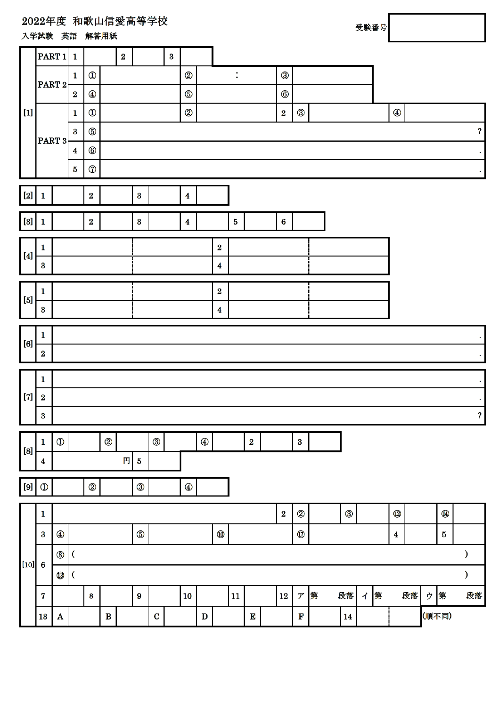### 2022年度 和歌山信愛高等学校

入学試験 英語 解答用紙

| 受験番号 |
|------|
|      |
|      |

Г

|                                                                                                                                                                                                                                                                                                | $\vert$ PART 1 $\vert$ 1 |                |                         |                |              | $\bf{2}$ |             |              | $\bf{3}$ |                  |              |                  |                |          |                  |                            |   |    |                      |   |                  |    |   |            |              |                                |
|------------------------------------------------------------------------------------------------------------------------------------------------------------------------------------------------------------------------------------------------------------------------------------------------|--------------------------|----------------|-------------------------|----------------|--------------|----------|-------------|--------------|----------|------------------|--------------|------------------|----------------|----------|------------------|----------------------------|---|----|----------------------|---|------------------|----|---|------------|--------------|--------------------------------|
|                                                                                                                                                                                                                                                                                                |                          |                | $\mathbf{1}$            | $^\circledR$   |              |          |             |              |          | 2                |              |                  | $\ddot{\cdot}$ |          | 3                |                            |   |    |                      |   |                  |    |   |            |              |                                |
|                                                                                                                                                                                                                                                                                                | $\vert$ PART 2 $\vert$   |                | $\bf{2}$                | $^\circledR$   |              |          |             |              |          | $\circledS$      |              |                  |                |          | $^{\circledR}$   |                            |   |    |                      |   |                  |    |   |            |              |                                |
| $[1]$                                                                                                                                                                                                                                                                                          |                          |                | $\mathbf{1}$            | $^{\circledR}$ |              |          |             |              |          | $^{\circledR}$   |              |                  |                |          | $\bf{2}$         | $^\circledR$               |   |    |                      |   | $^{\circledR}$   |    |   |            |              |                                |
|                                                                                                                                                                                                                                                                                                |                          |                | $\bf{3}$                | $\circledS$    |              |          |             |              |          |                  |              |                  |                |          |                  |                            |   |    |                      |   |                  |    |   |            |              | $\boldsymbol{\mathcal{P}}$     |
|                                                                                                                                                                                                                                                                                                | PART 3                   |                | $\overline{\mathbf{4}}$ | $^\circledR$   |              |          |             |              |          |                  |              |                  |                |          |                  |                            |   |    |                      |   |                  |    |   |            |              |                                |
|                                                                                                                                                                                                                                                                                                |                          |                | $\bf{5}$                | $^\circledR$   |              |          |             |              |          |                  |              |                  |                |          |                  |                            |   |    |                      |   |                  |    |   |            |              |                                |
|                                                                                                                                                                                                                                                                                                |                          |                |                         |                |              |          |             |              |          |                  |              |                  |                |          |                  |                            |   |    |                      |   |                  |    |   |            |              |                                |
| $[2] % \begin{center} \includegraphics[width=\linewidth]{imagesSupplemental/Imers.png} \end{center} % \vspace*{-1em} \caption{The figure shows the results of the estimators in the image.} \label{fig:lim} %$                                                                                 | 1                        |                |                         | $\bf{2}$       |              |          | $\bf{3}$    |              |          | $\boldsymbol{4}$ |              |                  |                |          |                  |                            |   |    |                      |   |                  |    |   |            |              |                                |
| $[3]$                                                                                                                                                                                                                                                                                          | 1                        |                |                         | $\bf{2}$       |              |          | $\bf{3}$    |              |          | $\boldsymbol{4}$ |              |                  | $\overline{5}$ |          | $\boldsymbol{6}$ |                            |   |    |                      |   |                  |    |   |            |              |                                |
|                                                                                                                                                                                                                                                                                                | $\mathbf{1}$             |                |                         |                |              |          |             |              |          |                  |              | $\bf{2}$         |                |          |                  |                            |   |    |                      |   |                  |    |   |            |              |                                |
| $[4] \centering% \includegraphics[width=1.0\textwidth]{images/TrDiM1.png} \caption{The 3D (top) and the 4D (bottom) are shown in the left and right.} \label{TrDiM1}$                                                                                                                          | $\bf{3}$                 |                |                         |                |              |          |             |              |          |                  |              | $\boldsymbol{4}$ |                |          |                  |                            |   |    |                      |   |                  |    |   |            |              |                                |
|                                                                                                                                                                                                                                                                                                |                          |                |                         |                |              |          |             |              |          |                  |              |                  |                |          |                  |                            |   |    |                      |   |                  |    |   |            |              |                                |
| $[5]$                                                                                                                                                                                                                                                                                          | $\mathbf{1}$             |                |                         |                |              |          |             |              |          |                  |              | $\bf{2}$         |                |          |                  |                            |   |    |                      |   |                  |    |   |            |              |                                |
|                                                                                                                                                                                                                                                                                                | $\bf{3}$                 |                |                         |                |              |          |             |              |          |                  |              | $\boldsymbol{4}$ |                |          |                  |                            |   |    |                      |   |                  |    |   |            |              |                                |
|                                                                                                                                                                                                                                                                                                | $\mathbf{1}$             |                |                         |                |              |          |             |              |          |                  |              |                  |                |          |                  |                            |   |    |                      |   |                  |    |   |            |              |                                |
| $[6] % \includegraphics[width=0.9\columnwidth]{figures/fig_0a.pdf} \caption{The 3D (top) and the 4D (bottom) of the 3D (bottom) and the 4D (bottom) of the 3D (bottom) and the 4D (bottom) of the 3D (bottom).} \label{fig:1}$                                                                 | $\bf{2}$                 |                |                         |                |              |          |             |              |          |                  |              |                  |                |          |                  |                            |   |    |                      |   |                  |    |   |            |              | $\sim$                         |
|                                                                                                                                                                                                                                                                                                | 1                        |                |                         |                |              |          |             |              |          |                  |              |                  |                |          |                  |                            |   |    |                      |   |                  |    |   |            |              |                                |
| $[7] \centering% \includegraphics[width=1.0\textwidth]{images/TrDiC-Architecture.png} \caption{The 3D (top) and the 4D (bottom) of the 3D (bottom) and the 4D (bottom) of the 3D (bottom) and the 4D (bottom) of the 3D (bottom). The 3D (bottom) is 3D (bottom).} \label{TrDiC-Architecture}$ | $\boldsymbol{2}$         |                |                         |                |              |          |             |              |          |                  |              |                  |                |          |                  |                            |   |    |                      |   |                  |    |   |            |              | $\bullet$                      |
|                                                                                                                                                                                                                                                                                                | 3                        |                |                         |                |              |          |             |              |          |                  |              |                  |                |          |                  |                            |   |    |                      |   |                  |    |   |            |              | ٠<br>$\boldsymbol{\mathsf{?}}$ |
|                                                                                                                                                                                                                                                                                                |                          |                |                         |                |              |          |             |              |          |                  |              |                  |                |          |                  |                            |   |    |                      |   |                  |    |   |            |              |                                |
| $[8]$                                                                                                                                                                                                                                                                                          | 1                        | $^{\circledR}$ |                         |                | ②            |          |             | $^\circledR$ |          |                  | $^\circledR$ |                  |                | $\bf{2}$ |                  | $\bf{3}$                   |   |    |                      |   |                  |    |   |            |              |                                |
|                                                                                                                                                                                                                                                                                                | 4                        |                |                         |                |              | 円        | ${\bf 5}$   |              |          |                  |              |                  |                |          |                  |                            |   |    |                      |   |                  |    |   |            |              |                                |
| $\left[ 9\right]$                                                                                                                                                                                                                                                                              | $^\circledR$             |                |                         | $^{\circledR}$ |              |          | $\circledS$ |              |          | $^\circledR$     |              |                  |                |          |                  |                            |   |    |                      |   |                  |    |   |            |              |                                |
|                                                                                                                                                                                                                                                                                                |                          |                |                         |                |              |          |             |              |          |                  |              |                  |                |          |                  |                            |   |    |                      |   |                  |    |   |            |              |                                |
|                                                                                                                                                                                                                                                                                                | $\mathbf{1}$             |                |                         |                |              |          |             |              |          |                  |              |                  |                |          | $\bf{2}$         | 2                          |   | ③  |                      |   | $^\circledR$     |    |   | $\bf \Phi$ |              |                                |
|                                                                                                                                                                                                                                                                                                | $\bf{3}$                 | $^\circledR$   |                         |                |              |          | $\circledS$ |              |          |                  |              | $^\circledR$     |                |          |                  | $^\circledR$               |   |    |                      |   | $\boldsymbol{4}$ |    |   | $\bf{5}$   |              |                                |
| $[10]$                                                                                                                                                                                                                                                                                         | $\boldsymbol{6}$         | $^{\circledR}$ | V                       |                |              |          |             |              |          |                  |              |                  |                |          |                  |                            |   |    |                      |   |                  |    |   |            | $\mathcal Y$ |                                |
|                                                                                                                                                                                                                                                                                                |                          | $^\circledR$   | V                       |                |              |          |             |              |          |                  |              |                  |                |          |                  |                            |   |    |                      |   |                  |    |   |            | $\mathcal Y$ |                                |
|                                                                                                                                                                                                                                                                                                | $\bf 7$                  |                |                         | 8              |              |          | 9           |              |          | 10               |              |                  | 11             |          | $12\phantom{.0}$ | $\boldsymbol{\mathcal{T}}$ | 第 | 段落 | $\overrightarrow{1}$ | 第 |                  | 段落 | ウ | 第          |              | 段落                             |
|                                                                                                                                                                                                                                                                                                | 13                       | A              |                         |                | $\, {\bf B}$ |          |             | $\mathbf C$  |          |                  | $\mathbf D$  |                  |                | E        |                  | $\mathbf F$                |   | 14 |                      |   |                  |    |   | (順不同)      |              |                                |